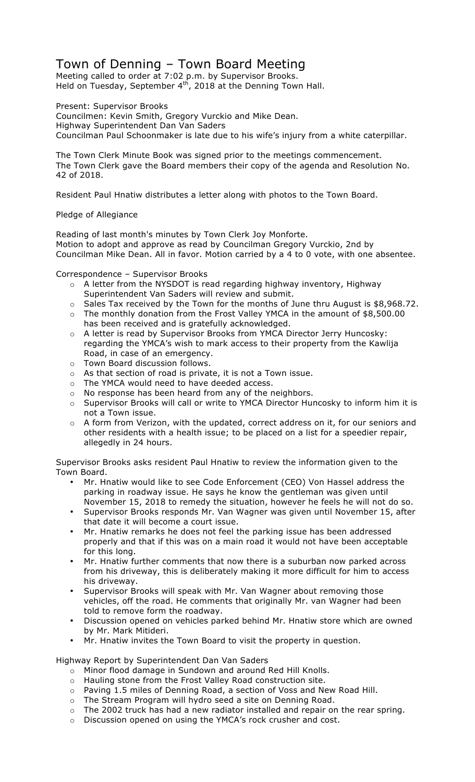## Town of Denning – Town Board Meeting

Meeting called to order at 7:02 p.m. by Supervisor Brooks. Held on Tuesday, September 4<sup>th</sup>, 2018 at the Denning Town Hall.

Present: Supervisor Brooks

Councilmen: Kevin Smith, Gregory Vurckio and Mike Dean. Highway Superintendent Dan Van Saders Councilman Paul Schoonmaker is late due to his wife's injury from a white caterpillar.

The Town Clerk Minute Book was signed prior to the meetings commencement. The Town Clerk gave the Board members their copy of the agenda and Resolution No. 42 of 2018.

Resident Paul Hnatiw distributes a letter along with photos to the Town Board.

## Pledge of Allegiance

Reading of last month's minutes by Town Clerk Joy Monforte. Motion to adopt and approve as read by Councilman Gregory Vurckio, 2nd by Councilman Mike Dean. All in favor. Motion carried by a 4 to 0 vote, with one absentee.

Correspondence – Supervisor Brooks

- o A letter from the NYSDOT is read regarding highway inventory, Highway Superintendent Van Saders will review and submit.
- o Sales Tax received by the Town for the months of June thru August is \$8,968.72.
- o The monthly donation from the Frost Valley YMCA in the amount of \$8,500.00 has been received and is gratefully acknowledged.
- o A letter is read by Supervisor Brooks from YMCA Director Jerry Huncosky: regarding the YMCA's wish to mark access to their property from the Kawlija Road, in case of an emergency.
- o Town Board discussion follows.
- o As that section of road is private, it is not a Town issue.
- o The YMCA would need to have deeded access.
- o No response has been heard from any of the neighbors.
- o Supervisor Brooks will call or write to YMCA Director Huncosky to inform him it is not a Town issue.
- o A form from Verizon, with the updated, correct address on it, for our seniors and other residents with a health issue; to be placed on a list for a speedier repair, allegedly in 24 hours.

Supervisor Brooks asks resident Paul Hnatiw to review the information given to the Town Board.

- Mr. Hnatiw would like to see Code Enforcement (CEO) Von Hassel address the parking in roadway issue. He says he know the gentleman was given until November 15, 2018 to remedy the situation, however he feels he will not do so.
- Supervisor Brooks responds Mr. Van Wagner was given until November 15, after that date it will become a court issue.
- Mr. Hnatiw remarks he does not feel the parking issue has been addressed properly and that if this was on a main road it would not have been acceptable for this long.
- Mr. Hnatiw further comments that now there is a suburban now parked across from his driveway, this is deliberately making it more difficult for him to access his driveway.
- Supervisor Brooks will speak with Mr. Van Wagner about removing those vehicles, off the road. He comments that originally Mr. van Wagner had been told to remove form the roadway.
- Discussion opened on vehicles parked behind Mr. Hnatiw store which are owned by Mr. Mark Mitideri.
- Mr. Hnatiw invites the Town Board to visit the property in question.

Highway Report by Superintendent Dan Van Saders

- o Minor flood damage in Sundown and around Red Hill Knolls.
- o Hauling stone from the Frost Valley Road construction site.
- o Paving 1.5 miles of Denning Road, a section of Voss and New Road Hill.
- o The Stream Program will hydro seed a site on Denning Road.
- o The 2002 truck has had a new radiator installed and repair on the rear spring.
- o Discussion opened on using the YMCA's rock crusher and cost.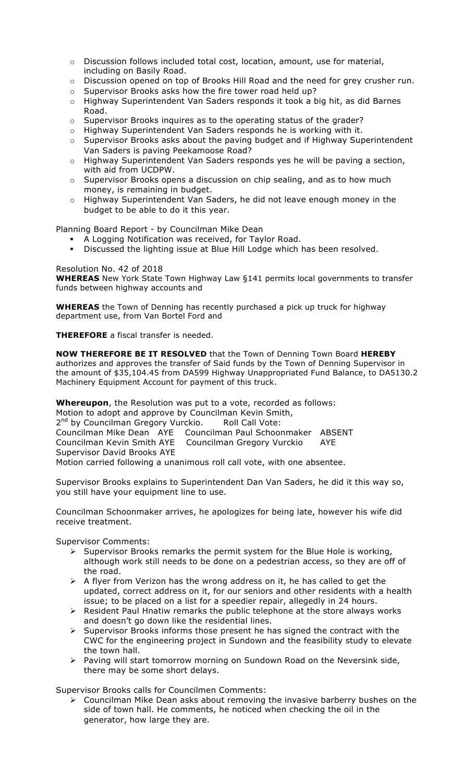- o Discussion follows included total cost, location, amount, use for material, including on Basily Road.
- $\circ$  Discussion opened on top of Brooks Hill Road and the need for grey crusher run.
- o Supervisor Brooks asks how the fire tower road held up?
- o Highway Superintendent Van Saders responds it took a big hit, as did Barnes Road.
- o Supervisor Brooks inquires as to the operating status of the grader?
- o Highway Superintendent Van Saders responds he is working with it.
- $\circ$  Supervisor Brooks asks about the paving budget and if Highway Superintendent Van Saders is paving Peekamoose Road?
- o Highway Superintendent Van Saders responds yes he will be paving a section, with aid from UCDPW.
- $\circ$  Supervisor Brooks opens a discussion on chip sealing, and as to how much money, is remaining in budget.
- $\circ$  Highway Superintendent Van Saders, he did not leave enough money in the budget to be able to do it this year.

Planning Board Report - by Councilman Mike Dean

- ! A Logging Notification was received, for Taylor Road.
- ! Discussed the lighting issue at Blue Hill Lodge which has been resolved.

Resolution No. 42 of 2018

**WHEREAS** New York State Town Highway Law §141 permits local governments to transfer funds between highway accounts and

**WHEREAS** the Town of Denning has recently purchased a pick up truck for highway department use, from Van Bortel Ford and

**THEREFORE** a fiscal transfer is needed.

**NOW THEREFORE BE IT RESOLVED** that the Town of Denning Town Board **HEREBY** authorizes and approves the transfer of Said funds by the Town of Denning Supervisor in the amount of \$35,104.45 from DA599 Highway Unappropriated Fund Balance, to DA5130.2 Machinery Equipment Account for payment of this truck.

**Whereupon**, the Resolution was put to a vote, recorded as follows: Motion to adopt and approve by Councilman Kevin Smith, 2<sup>nd</sup> by Councilman Gregory Vurckio. Roll Call Vote: Councilman Mike Dean AYE Councilman Paul Schoonmaker ABSENT Councilman Kevin Smith AYE Councilman Gregory Vurckio AYE Supervisor David Brooks AYE Motion carried following a unanimous roll call vote, with one absentee.

Supervisor Brooks explains to Superintendent Dan Van Saders, he did it this way so, you still have your equipment line to use.

Councilman Schoonmaker arrives, he apologizes for being late, however his wife did receive treatment.

Supervisor Comments:

- $\triangleright$  Supervisor Brooks remarks the permit system for the Blue Hole is working, although work still needs to be done on a pedestrian access, so they are off of the road.
- $\triangleright$  A flyer from Verizon has the wrong address on it, he has called to get the updated, correct address on it, for our seniors and other residents with a health issue; to be placed on a list for a speedier repair, allegedly in 24 hours.
- $\triangleright$  Resident Paul Hnatiw remarks the public telephone at the store always works and doesn't go down like the residential lines.
- $\triangleright$  Supervisor Brooks informs those present he has signed the contract with the CWC for the engineering project in Sundown and the feasibility study to elevate the town hall.
- $\triangleright$  Paving will start tomorrow morning on Sundown Road on the Neversink side, there may be some short delays.

Supervisor Brooks calls for Councilmen Comments:

 $\triangleright$  Councilman Mike Dean asks about removing the invasive barberry bushes on the side of town hall. He comments, he noticed when checking the oil in the generator, how large they are.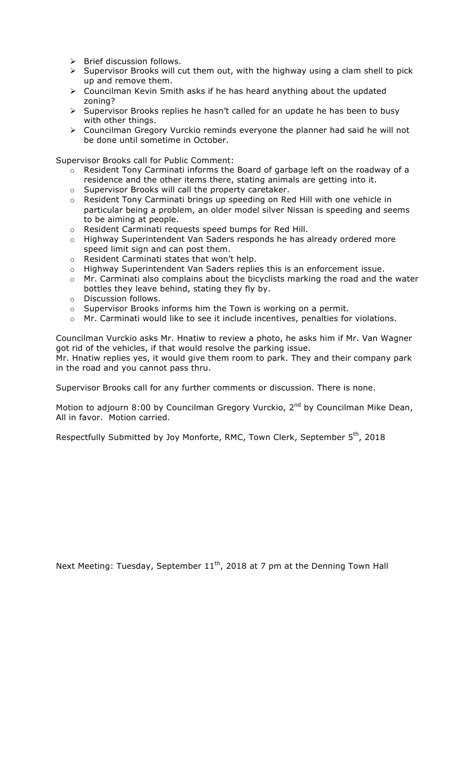- $\triangleright$  Brief discussion follows.
- $\triangleright$  Supervisor Brooks will cut them out, with the highway using a clam shell to pick up and remove them.
- $\triangleright$  Councilman Kevin Smith asks if he has heard anything about the updated zoning?
- > Supervisor Brooks replies he hasn't called for an update he has been to busy with other things.
- $\triangleright$  Councilman Gregory Vurckio reminds everyone the planner had said he will not be done until sometime in October.

Supervisor Brooks call for Public Comment:

- $\circ$  Resident Tony Carminati informs the Board of garbage left on the roadway of a residence and the other items there, stating animals are getting into it.
- o Supervisor Brooks will call the property caretaker.
- o Resident Tony Carminati brings up speeding on Red Hill with one vehicle in particular being a problem, an older model silver Nissan is speeding and seems to be aiming at people.
- o Resident Carminati requests speed bumps for Red Hill.
- $\circ$  Highway Superintendent Van Saders responds he has already ordered more speed limit sign and can post them.
- o Resident Carminati states that won't help.
- o Highway Superintendent Van Saders replies this is an enforcement issue.
- o Mr. Carminati also complains about the bicyclists marking the road and the water bottles they leave behind, stating they fly by.
- o Discussion follows.
- $\circ$  Supervisor Brooks informs him the Town is working on a permit.
- o Mr. Carminati would like to see it include incentives, penalties for violations.

Councilman Vurckio asks Mr. Hnatiw to review a photo, he asks him if Mr. Van Wagner got rid of the vehicles, if that would resolve the parking issue.

Mr. Hnatiw replies yes, it would give them room to park. They and their company park in the road and you cannot pass thru.

Supervisor Brooks call for any further comments or discussion. There is none.

Motion to adjourn 8:00 by Councilman Gregory Vurckio, 2<sup>nd</sup> by Councilman Mike Dean, All in favor. Motion carried.

Respectfully Submitted by Joy Monforte, RMC, Town Clerk, September 5<sup>th</sup>, 2018

Next Meeting: Tuesday, September  $11<sup>th</sup>$ , 2018 at 7 pm at the Denning Town Hall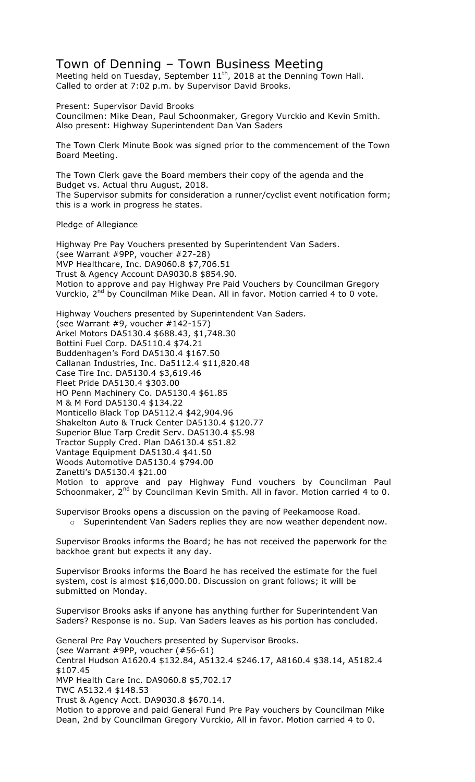## Town of Denning – Town Business Meeting

Meeting held on Tuesday, September  $11^{th}$ , 2018 at the Denning Town Hall. Called to order at 7:02 p.m. by Supervisor David Brooks.

Present: Supervisor David Brooks Councilmen: Mike Dean, Paul Schoonmaker, Gregory Vurckio and Kevin Smith. Also present: Highway Superintendent Dan Van Saders

The Town Clerk Minute Book was signed prior to the commencement of the Town Board Meeting.

The Town Clerk gave the Board members their copy of the agenda and the Budget vs. Actual thru August, 2018. The Supervisor submits for consideration a runner/cyclist event notification form; this is a work in progress he states.

Pledge of Allegiance

Highway Pre Pay Vouchers presented by Superintendent Van Saders. (see Warrant #9PP, voucher #27-28) MVP Healthcare, Inc. DA9060.8 \$7,706.51 Trust & Agency Account DA9030.8 \$854.90. Motion to approve and pay Highway Pre Paid Vouchers by Councilman Gregory Vurckio, 2<sup>nd</sup> by Councilman Mike Dean. All in favor. Motion carried 4 to 0 vote.

Highway Vouchers presented by Superintendent Van Saders. (see Warrant #9, voucher #142-157) Arkel Motors DA5130.4 \$688.43, \$1,748.30 Bottini Fuel Corp. DA5110.4 \$74.21 Buddenhagen's Ford DA5130.4 \$167.50 Callanan Industries, Inc. Da5112.4 \$11,820.48 Case Tire Inc. DA5130.4 \$3,619.46 Fleet Pride DA5130.4 \$303.00 HO Penn Machinery Co. DA5130.4 \$61.85 M & M Ford DA5130.4 \$134.22 Monticello Black Top DA5112.4 \$42,904.96 Shakelton Auto & Truck Center DA5130.4 \$120.77 Superior Blue Tarp Credit Serv. DA5130.4 \$5.98 Tractor Supply Cred. Plan DA6130.4 \$51.82 Vantage Equipment DA5130.4 \$41.50 Woods Automotive DA5130.4 \$794.00 Zanetti's DA5130.4 \$21.00 Motion to approve and pay Highway Fund vouchers by Councilman Paul Schoonmaker, 2<sup>nd</sup> by Councilman Kevin Smith. All in favor. Motion carried 4 to 0.

Supervisor Brooks opens a discussion on the paving of Peekamoose Road.

o Superintendent Van Saders replies they are now weather dependent now.

Supervisor Brooks informs the Board; he has not received the paperwork for the backhoe grant but expects it any day.

Supervisor Brooks informs the Board he has received the estimate for the fuel system, cost is almost \$16,000.00. Discussion on grant follows; it will be submitted on Monday.

Supervisor Brooks asks if anyone has anything further for Superintendent Van Saders? Response is no. Sup. Van Saders leaves as his portion has concluded.

General Pre Pay Vouchers presented by Supervisor Brooks. (see Warrant #9PP, voucher (#56-61) Central Hudson A1620.4 \$132.84, A5132.4 \$246.17, A8160.4 \$38.14, A5182.4 \$107.45 MVP Health Care Inc. DA9060.8 \$5,702.17 TWC A5132.4 \$148.53 Trust & Agency Acct. DA9030.8 \$670.14. Motion to approve and paid General Fund Pre Pay vouchers by Councilman Mike Dean, 2nd by Councilman Gregory Vurckio, All in favor. Motion carried 4 to 0.